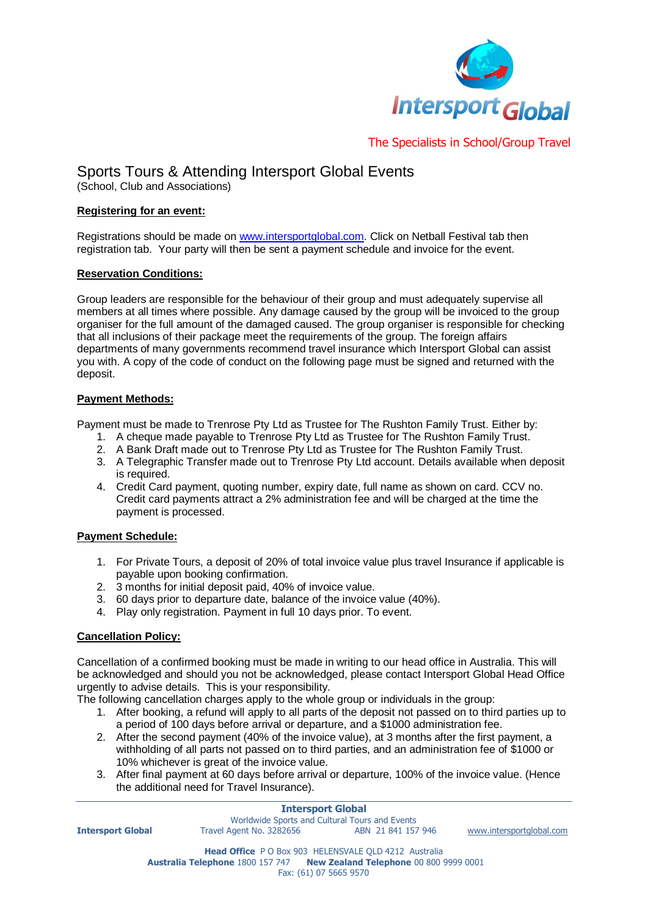

# The Specialists in School/Group Travel

# Sports Tours & Attending Intersport Global Events

(School, Club and Associations)

### **Registering for an event:**

Registrations should be made on [www.intersportglobal.com.](http://www.intersportglobal.com/) Click on Netball Festival tab then registration tab. Your party will then be sent a payment schedule and invoice for the event.

#### **Reservation Conditions:**

Group leaders are responsible for the behaviour of their group and must adequately supervise all members at all times where possible. Any damage caused by the group will be invoiced to the group organiser for the full amount of the damaged caused. The group organiser is responsible for checking that all inclusions of their package meet the requirements of the group. The foreign affairs departments of many governments recommend travel insurance which Intersport Global can assist you with. A copy of the code of conduct on the following page must be signed and returned with the deposit.

# **Payment Methods:**

Payment must be made to Trenrose Pty Ltd as Trustee for The Rushton Family Trust. Either by:

- 1. A cheque made payable to Trenrose Pty Ltd as Trustee for The Rushton Family Trust.
- 2. A Bank Draft made out to Trenrose Pty Ltd as Trustee for The Rushton Family Trust.
- 3. A Telegraphic Transfer made out to Trenrose Pty Ltd account. Details available when deposit is required.
- 4. Credit Card payment, quoting number, expiry date, full name as shown on card. CCV no. Credit card payments attract a 2% administration fee and will be charged at the time the payment is processed.

# **Payment Schedule:**

- 1. For Private Tours, a deposit of 20% of total invoice value plus travel Insurance if applicable is payable upon booking confirmation.
- 2. 3 months for initial deposit paid, 40% of invoice value.
- 3. 60 days prior to departure date, balance of the invoice value (40%).
- 4. Play only registration. Payment in full 10 days prior. To event.

# **Cancellation Policy:**

Cancellation of a confirmed booking must be made in writing to our head office in Australia. This will be acknowledged and should you not be acknowledged, please contact Intersport Global Head Office urgently to advise details. This is your responsibility.

The following cancellation charges apply to the whole group or individuals in the group:

- 1. After booking, a refund will apply to all parts of the deposit not passed on to third parties up to a period of 100 days before arrival or departure, and a \$1000 administration fee.
- 2. After the second payment (40% of the invoice value), at 3 months after the first payment, a withholding of all parts not passed on to third parties, and an administration fee of \$1000 or 10% whichever is great of the invoice value.
- 3. After final payment at 60 days before arrival or departure, 100% of the invoice value. (Hence the additional need for Travel Insurance).

|                          | <b>Intersport Global</b>                                                |                    |                          |
|--------------------------|-------------------------------------------------------------------------|--------------------|--------------------------|
|                          | Worldwide Sports and Cultural Tours and Events                          |                    |                          |
| <b>Intersport Global</b> | Travel Agent No. 3282656                                                | ABN 21 841 157 946 | www.intersportglobal.com |
|                          | Head Office P O Box 903 HELENSVALE QLD 4212 Australia                   |                    |                          |
|                          | Australia Telephone 1800 157 747 New Zealand Telephone 00 800 9999 0001 |                    |                          |
|                          | Fax: (61) 07 5665 9570                                                  |                    |                          |